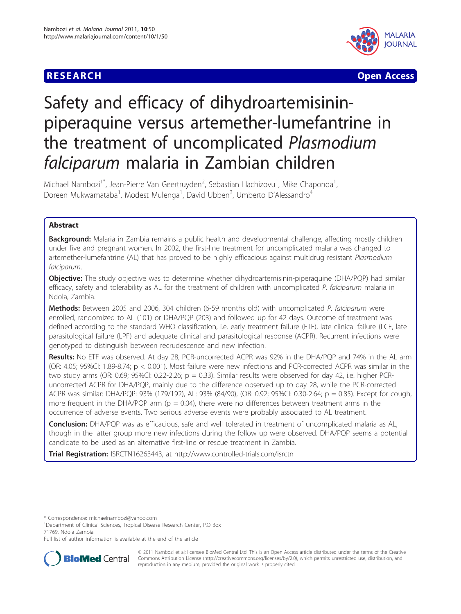



# Safety and efficacy of dihydroartemisininpiperaquine versus artemether-lumefantrine in the treatment of uncomplicated Plasmodium falciparum malaria in Zambian children

Michael Nambozi<sup>1\*</sup>, Jean-Pierre Van Geertruyden<sup>2</sup>, Sebastian Hachizovu<sup>1</sup>, Mike Chaponda<sup>1</sup> , Doreen Mukwamataba<sup>1</sup>, Modest Mulenga<sup>1</sup>, David Ubben<sup>3</sup>, Umberto D'Alessandro<sup>4</sup>

# Abstract

Background: Malaria in Zambia remains a public health and developmental challenge, affecting mostly children under five and pregnant women. In 2002, the first-line treatment for uncomplicated malaria was changed to artemether-lumefantrine (AL) that has proved to be highly efficacious against multidrug resistant Plasmodium falciparum.

Objective: The study objective was to determine whether dihydroartemisinin-piperaquine (DHA/PQP) had similar efficacy, safety and tolerability as AL for the treatment of children with uncomplicated P. falciparum malaria in Ndola, Zambia.

Methods: Between 2005 and 2006, 304 children (6-59 months old) with uncomplicated P. falciparum were enrolled, randomized to AL (101) or DHA/PQP (203) and followed up for 42 days. Outcome of treatment was defined according to the standard WHO classification, i.e. early treatment failure (ETF), late clinical failure (LCF, late parasitological failure (LPF) and adequate clinical and parasitological response (ACPR). Recurrent infections were genotyped to distinguish between recrudescence and new infection.

Results: No ETF was observed. At day 28, PCR-uncorrected ACPR was 92% in the DHA/PQP and 74% in the AL arm (OR: 4.05; 95%CI: 1.89-8.74; p < 0.001). Most failure were new infections and PCR-corrected ACPR was similar in the two study arms (OR: 0.69; 95%CI: 0.22-2.26;  $p = 0.33$ ). Similar results were observed for day 42, i.e. higher PCRuncorrected ACPR for DHA/PQP, mainly due to the difference observed up to day 28, while the PCR-corrected ACPR was similar: DHA/PQP: 93% (179/192), AL: 93% (84/90), (OR: 0.92; 95%CI: 0.30-2.64; p = 0.85). Except for cough, more frequent in the DHA/PQP arm ( $p = 0.04$ ), there were no differences between treatment arms in the occurrence of adverse events. Two serious adverse events were probably associated to AL treatment.

Conclusion: DHA/PQP was as efficacious, safe and well tolerated in treatment of uncomplicated malaria as AL, though in the latter group more new infections during the follow up were observed. DHA/PQP seems a potential candidate to be used as an alternative first-line or rescue treatment in Zambia.

Trial Registration: [ISRCTN16263443](http://www.controlled-trials.com/ISRCTN16263443), at<http://www.controlled-trials.com/isrctn>

\* Correspondence: [michaelnambozi@yahoo.com](mailto:michaelnambozi@yahoo.com)

<sup>1</sup>Department of Clinical Sciences, Tropical Disease Research Center, P.O Box 71769, Ndola Zambia

Full list of author information is available at the end of the article



© 2011 Nambozi et al; licensee BioMed Central Ltd. This is an Open Access article distributed under the terms of the Creative Commons Attribution License [\(http://creativecommons.org/licenses/by/2.0](http://creativecommons.org/licenses/by/2.0)), which permits unrestricted use, distribution, and reproduction in any medium, provided the original work is properly cited.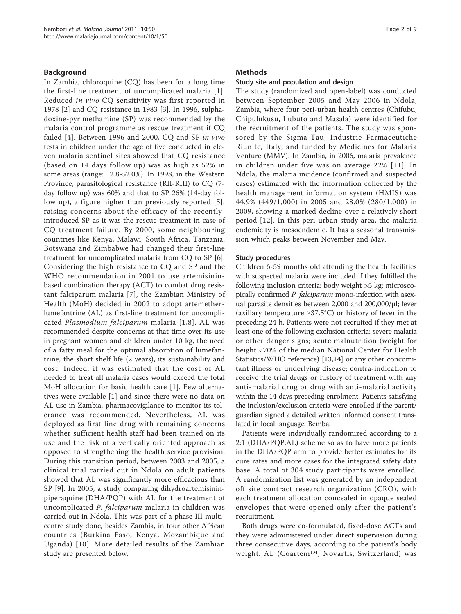## Background

In Zambia, chloroquine (CQ) has been for a long time the first-line treatment of uncomplicated malaria [[1\]](#page-7-0). Reduced in vivo CQ sensitivity was first reported in 1978 [[2\]](#page-7-0) and CQ resistance in 1983 [\[3](#page-7-0)]. In 1996, sulphadoxine-pyrimethamine (SP) was recommended by the malaria control programme as rescue treatment if CQ failed [[4\]](#page-7-0). Between 1996 and 2000, CQ and SP in vivo tests in children under the age of five conducted in eleven malaria sentinel sites showed that CQ resistance (based on 14 days follow up) was as high as 52% in some areas (range: 12.8-52.0%). In 1998, in the Western Province, parasitological resistance (RII-RIII) to CQ (7 day follow up) was 60% and that to SP 26% (14-day follow up), a figure higher than previously reported [[5\]](#page-7-0), raising concerns about the efficacy of the recentlyintroduced SP as it was the rescue treatment in case of CQ treatment failure. By 2000, some neighbouring countries like Kenya, Malawi, South Africa, Tanzania, Botswana and Zimbabwe had changed their first-line treatment for uncomplicated malaria from CQ to SP [\[6](#page-7-0)]. Considering the high resistance to CQ and SP and the WHO recommendation in 2001 to use artemisininbased combination therapy (ACT) to combat drug resistant falciparum malaria [[7\]](#page-7-0), the Zambian Ministry of Health (MoH) decided in 2002 to adopt artemetherlumefantrine (AL) as first-line treatment for uncomplicated Plasmodium falciparum malaria [[1](#page-7-0),[8\]](#page-7-0). AL was recommended despite concerns at that time over its use in pregnant women and children under 10 kg, the need of a fatty meal for the optimal absorption of lumefantrine, the short shelf life (2 years), its sustainability and cost. Indeed, it was estimated that the cost of AL needed to treat all malaria cases would exceed the total MoH allocation for basic health care [[1\]](#page-7-0). Few alternatives were available [[1\]](#page-7-0) and since there were no data on AL use in Zambia, pharmacovigilance to monitor its tolerance was recommended. Nevertheless, AL was deployed as first line drug with remaining concerns whether sufficient health staff had been trained on its use and the risk of a vertically oriented approach as opposed to strengthening the health service provision. During this transition period, between 2003 and 2005, a clinical trial carried out in Ndola on adult patients showed that AL was significantly more efficacious than SP [[9](#page-8-0)]. In 2005, a study comparing dihydroartemisininpiperaquine (DHA/PQP) with AL for the treatment of uncomplicated P. falciparum malaria in children was carried out in Ndola. This was part of a phase III multicentre study done, besides Zambia, in four other African countries (Burkina Faso, Kenya, Mozambique and Uganda) [[10\]](#page-8-0). More detailed results of the Zambian study are presented below.

## Methods

## Study site and population and design

The study (randomized and open-label) was conducted between September 2005 and May 2006 in Ndola, Zambia, where four peri-urban health centres (Chifubu, Chipulukusu, Lubuto and Masala) were identified for the recruitment of the patients. The study was sponsored by the Sigma-Tau, Industrie Farmaceutiche Riunite, Italy, and funded by Medicines for Malaria Venture (MMV). In Zambia, in 2006, malaria prevalence in children under five was on average 22% [[11](#page-8-0)]. In Ndola, the malaria incidence (confirmed and suspected cases) estimated with the information collected by the health management information system (HMIS) was 44.9% (449/1,000) in 2005 and 28.0% (280/1,000) in 2009, showing a marked decline over a relatively short period [[12](#page-8-0)]. In this peri-urban study area, the malaria endemicity is mesoendemic. It has a seasonal transmission which peaks between November and May.

#### Study procedures

Children 6-59 months old attending the health facilities with suspected malaria were included if they fulfilled the following inclusion criteria: body weight >5 kg; microscopically confirmed P. falciparum mono-infection with asexual parasite densities between 2,000 and 200,000/μl; fever (axillary temperature ≥37.5°C) or history of fever in the preceding 24 h. Patients were not recruited if they met at least one of the following exclusion criteria: severe malaria or other danger signs; acute malnutrition (weight for height <70% of the median National Center for Health Statistics/WHO reference) [[13,14\]](#page-8-0) or any other concomitant illness or underlying disease; contra-indication to receive the trial drugs or history of treatment with any anti-malarial drug or drug with anti-malarial activity within the 14 days preceding enrolment. Patients satisfying the inclusion/exclusion criteria were enrolled if the parent/ guardian signed a detailed written informed consent translated in local language, Bemba.

Patients were individually randomized according to a 2:1 (DHA/PQP:AL) scheme so as to have more patients in the DHA/PQP arm to provide better estimates for its cure rates and more cases for the integrated safety data base. A total of 304 study participants were enrolled. A randomization list was generated by an independent off site contract research organization (CRO), with each treatment allocation concealed in opaque sealed envelopes that were opened only after the patient's recruitment.

Both drugs were co-formulated, fixed-dose ACTs and they were administered under direct supervision during three consecutive days, according to the patient's body weight. AL (Coartem™, Novartis, Switzerland) was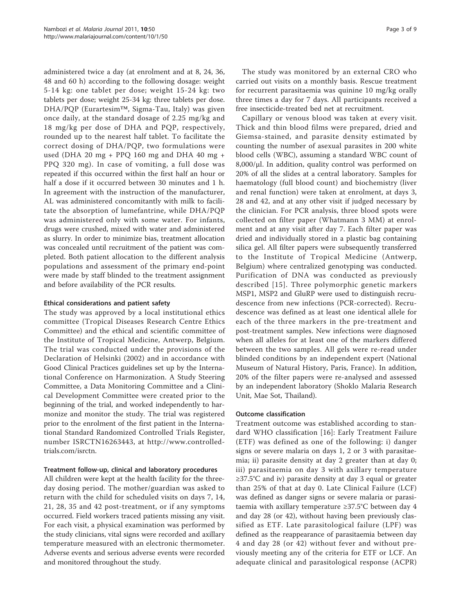administered twice a day (at enrolment and at 8, 24, 36, 48 and 60 h) according to the following dosage: weight 5-14 kg: one tablet per dose; weight 15-24 kg: two tablets per dose; weight 25-34 kg: three tablets per dose. DHA/PQP (Eurartesim™, Sigma-Tau, Italy) was given once daily, at the standard dosage of 2.25 mg/kg and 18 mg/kg per dose of DHA and PQP, respectively, rounded up to the nearest half tablet. To facilitate the correct dosing of DHA/PQP, two formulations were used (DHA 20 mg + PPQ 160 mg and DHA 40 mg + PPQ 320 mg). In case of vomiting, a full dose was repeated if this occurred within the first half an hour or half a dose if it occurred between 30 minutes and 1 h. In agreement with the instruction of the manufacturer, AL was administered concomitantly with milk to facilitate the absorption of lumefantrine, while DHA/PQP was administered only with some water. For infants, drugs were crushed, mixed with water and administered as slurry. In order to minimize bias, treatment allocation was concealed until recruitment of the patient was completed. Both patient allocation to the different analysis populations and assessment of the primary end-point were made by staff blinded to the treatment assignment and before availability of the PCR results.

## Ethical considerations and patient safety

The study was approved by a local institutional ethics committee (Tropical Diseases Research Centre Ethics Committee) and the ethical and scientific committee of the Institute of Tropical Medicine, Antwerp, Belgium. The trial was conducted under the provisions of the Declaration of Helsinki (2002) and in accordance with Good Clinical Practices guidelines set up by the International Conference on Harmonization. A Study Steering Committee, a Data Monitoring Committee and a Clinical Development Committee were created prior to the beginning of the trial, and worked independently to harmonize and monitor the study. The trial was registered prior to the enrolment of the first patient in the International Standard Randomized Controlled Trials Register, number ISRCTN16263443, at [http://www.controlled](http://www.controlled-trials.com/isrctn)[trials.com/isrctn.](http://www.controlled-trials.com/isrctn)

# Treatment follow-up, clinical and laboratory procedures

All children were kept at the health facility for the threeday dosing period. The mother/guardian was asked to return with the child for scheduled visits on days 7, 14, 21, 28, 35 and 42 post-treatment, or if any symptoms occurred. Field workers traced patients missing any visit. For each visit, a physical examination was performed by the study clinicians, vital signs were recorded and axillary temperature measured with an electronic thermometer. Adverse events and serious adverse events were recorded and monitored throughout the study.

The study was monitored by an external CRO who carried out visits on a monthly basis. Rescue treatment for recurrent parasitaemia was quinine 10 mg/kg orally three times a day for 7 days. All participants received a free insecticide-treated bed net at recruitment.

Capillary or venous blood was taken at every visit. Thick and thin blood films were prepared, dried and Giemsa-stained, and parasite density estimated by counting the number of asexual parasites in 200 white blood cells (WBC), assuming a standard WBC count of 8,000/μl. In addition, quality control was performed on 20% of all the slides at a central laboratory. Samples for haematology (full blood count) and biochemistry (liver and renal function) were taken at enrolment, at days 3, 28 and 42, and at any other visit if judged necessary by the clinician. For PCR analysis, three blood spots were collected on filter paper (Whatmann 3 MM) at enrolment and at any visit after day 7. Each filter paper was dried and individually stored in a plastic bag containing silica gel. All filter papers were subsequently transferred to the Institute of Tropical Medicine (Antwerp, Belgium) where centralized genotyping was conducted. Purification of DNA was conducted as previously described [[15\]](#page-8-0). Three polymorphic genetic markers MSP1, MSP2 and GluRP were used to distinguish recrudescence from new infections (PCR-corrected). Recrudescence was defined as at least one identical allele for each of the three markers in the pre-treatment and post-treatment samples. New infections were diagnosed when all alleles for at least one of the markers differed between the two samples. All gels were re-read under blinded conditions by an independent expert (National Museum of Natural History, Paris, France). In addition, 20% of the filter papers were re-analysed and assessed by an independent laboratory (Shoklo Malaria Research Unit, Mae Sot, Thailand).

#### Outcome classification

Treatment outcome was established according to standard WHO classification [\[16](#page-8-0)]: Early Treatment Failure (ETF) was defined as one of the following: i) danger signs or severe malaria on days 1, 2 or 3 with parasitaemia; ii) parasite density at day 2 greater than at day 0; iii) parasitaemia on day 3 with axillary temperature ≥37.5°C and iv) parasite density at day 3 equal or greater than 25% of that at day 0. Late Clinical Failure (LCF) was defined as danger signs or severe malaria or parasitaemia with axillary temperature ≥37.5°C between day 4 and day 28 (or 42), without having been previously classified as ETF. Late parasitological failure (LPF) was defined as the reappearance of parasitaemia between day 4 and day 28 (or 42) without fever and without previously meeting any of the criteria for ETF or LCF. An adequate clinical and parasitological response (ACPR)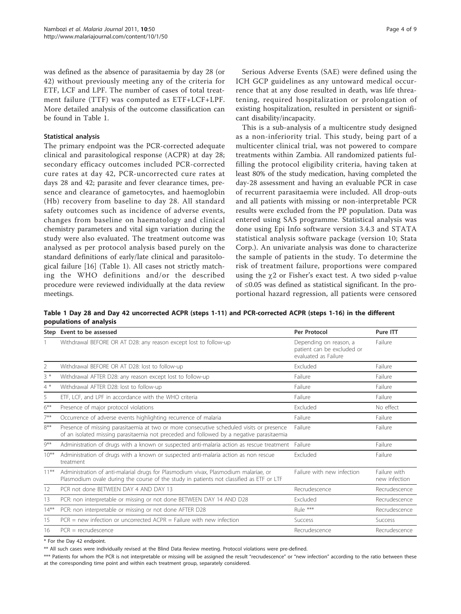<span id="page-3-0"></span>was defined as the absence of parasitaemia by day 28 (or 42) without previously meeting any of the criteria for ETF, LCF and LPF. The number of cases of total treatment failure (TTF) was computed as ETF+LCF+LPF. More detailed analysis of the outcome classification can be found in Table 1.

#### Statistical analysis

The primary endpoint was the PCR-corrected adequate clinical and parasitological response (ACPR) at day 28; secondary efficacy outcomes included PCR-corrected cure rates at day 42, PCR-uncorrected cure rates at days 28 and 42; parasite and fever clearance times, presence and clearance of gametocytes, and haemoglobin (Hb) recovery from baseline to day 28. All standard safety outcomes such as incidence of adverse events, changes from baseline on haematology and clinical chemistry parameters and vital sign variation during the study were also evaluated. The treatment outcome was analysed as per protocol analysis based purely on the standard definitions of early/late clinical and parasitological failure [[16\]](#page-8-0) (Table 1). All cases not strictly matching the WHO definitions and/or the described procedure were reviewed individually at the data review meetings.

ICH GCP guidelines as any untoward medical occurrence that at any dose resulted in death, was life threatening, required hospitalization or prolongation of existing hospitalization, resulted in persistent or significant disability/incapacity.

This is a sub-analysis of a multicentre study designed as a non-inferiority trial. This study, being part of a multicenter clinical trial, was not powered to compare treatments within Zambia. All randomized patients fulfilling the protocol eligibility criteria, having taken at least 80% of the study medication, having completed the day-28 assessment and having an evaluable PCR in case of recurrent parasitaemia were included. All drop-outs and all patients with missing or non-interpretable PCR results were excluded from the PP population. Data was entered using SAS programme. Statistical analysis was done using Epi Info software version 3.4.3 and STATA statistical analysis software package (version 10; Stata Corp.). An univariate analysis was done to characterize the sample of patients in the study. To determine the risk of treatment failure, proportions were compared using the  $\gamma$ 2 or Fisher's exact test. A two sided p-value of ≤0.05 was defined as statistical significant. In the proportional hazard regression, all patients were censored

Table 1 Day 28 and Day 42 uncorrected ACPR (steps 1-11) and PCR-corrected ACPR (steps 1-16) in the different populations of analysis

|                | Step Event to be assessed                                                                                                                                                            | Per Protocol                                                                 | Pure ITT                      |
|----------------|--------------------------------------------------------------------------------------------------------------------------------------------------------------------------------------|------------------------------------------------------------------------------|-------------------------------|
|                | Withdrawal BEFORE OR AT D28: any reason except lost to follow-up                                                                                                                     | Depending on reason, a<br>patient can be excluded or<br>evaluated as Failure | Failure                       |
| $\overline{2}$ | Withdrawal BEFORE OR AT D28: lost to follow-up                                                                                                                                       | Excluded                                                                     | Failure                       |
| $3*$           | Withdrawal AFTER D28: any reason except lost to follow-up                                                                                                                            | Failure                                                                      | Failure                       |
| $4*$           | Withdrawal AFTER D28: lost to follow-up                                                                                                                                              | Failure                                                                      | Failure                       |
| 5              | ETF, LCF, and LPF in accordance with the WHO criteria                                                                                                                                | Failure                                                                      | Failure                       |
| $6***$         | Presence of major protocol violations                                                                                                                                                | Excluded                                                                     | No effect                     |
| $7***$         | Occurrence of adverse events highlighting recurrence of malaria                                                                                                                      | Failure                                                                      | Failure                       |
| $8***$         | Presence of missing parasitaemia at two or more consecutive scheduled visits or presence<br>of an isolated missing parasitaemia not preceded and followed by a negative parasitaemia | Failure                                                                      | Failure                       |
| $9***$         | Administration of drugs with a known or suspected anti-malaria action as rescue treatment                                                                                            | Failure                                                                      | Failure                       |
| $10***$        | Administration of drugs with a known or suspected anti-malaria action as non rescue<br>treatment                                                                                     | <b>Fxcluded</b>                                                              | Failure                       |
| $11***$        | Administration of anti-malarial drugs for Plasmodium vivax, Plasmodium malariae, or<br>Plasmodium ovale during the course of the study in patients not classified as ETF or LTF      | Failure with new infection                                                   | Failure with<br>new infection |
| 12             | PCR not done BETWEEN DAY 4 AND DAY 13                                                                                                                                                | Recrudescence                                                                | Recrudescence                 |
| 13             | PCR: non interpretable or missing or not done BETWEEN DAY 14 AND D28                                                                                                                 | Excluded                                                                     | Recrudescence                 |
| $14***$        | PCR: non interpretable or missing or not done AFTER D28                                                                                                                              | Rule ***                                                                     | Recrudescence                 |
| 15             | $PCR = new infection$ or uncorrected $ACPR = Failure$ with new infection                                                                                                             | <b>Success</b>                                                               | Success                       |
| 16             | $PCR = recruitedescence$                                                                                                                                                             | Recrudescence                                                                | Recrudescence                 |

\* For the Day 42 endpoint.

\*\* All such cases were individually revised at the Blind Data Review meeting. Protocol violations were pre-defined.

\*\*\* Patients for whom the PCR is not interpretable or missing will be assigned the result "recrudescence" or "new infection" according to the ratio between these at the corresponding time point and within each treatment group, separately considered.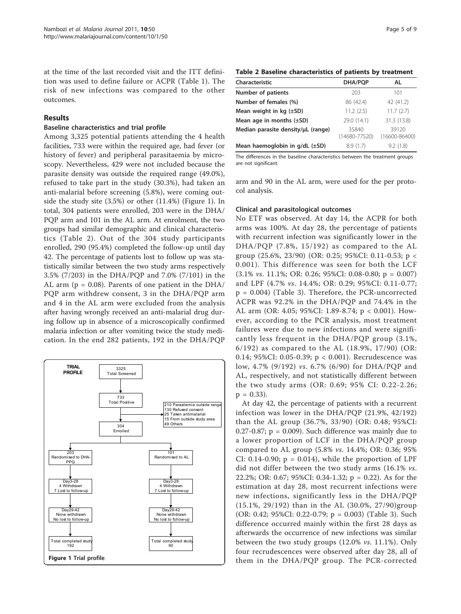at the time of the last recorded visit and the ITT definition was used to define failure or ACPR (Table [1](#page-3-0)). The risk of new infections was compared to the other outcomes.

# Results

## Baseline characteristics and trial profile

Among 3,325 potential patients attending the 4 health facilities, 733 were within the required age, had fever (or history of fever) and peripheral parasitaemia by microscopy. Nevertheless, 429 were not included because the parasite density was outside the required range (49.0%), refused to take part in the study (30.3%), had taken an anti-malarial before screening (5.8%), were coming outside the study site (3.5%) or other (11.4%) (Figure 1). In total, 304 patients were enrolled, 203 were in the DHA/ PQP arm and 101 in the AL arm. At enrolment, the two groups had similar demographic and clinical characteristics (Table 2). Out of the 304 study participants enrolled, 290 (95.4%) completed the follow-up until day 42. The percentage of patients lost to follow up was statistically similar between the two study arms respectively 3.5% (7/203) in the DHA/PQP and 7.0% (7/101) in the AL arm ( $p = 0.08$ ). Parents of one patient in the DHA/ PQP arm withdrew consent, 3 in the DHA/PQP arm and 4 in the AL arm were excluded from the analysis after having wrongly received an anti-malarial drug during follow up in absence of a microscopically confirmed malaria infection or after vomiting twice the study medication. In the end 282 patients, 192 in the DHA/PQP



## Table 2 Baseline characteristics of patients by treatment

| Characteristic                         | DHA/PQP                    | AL                         |
|----------------------------------------|----------------------------|----------------------------|
|                                        |                            |                            |
| Number of patients                     | 203                        | 101                        |
| Number of females (%)                  | 86 (42.4)                  | 42 (41.2)                  |
| Mean weight in $kq$ ( $\pm$ SD)        | 11.2(2.5)                  | 11.7(2.7)                  |
| Mean age in months $(\pm SD)$          | 29.0 (14.1)                | 31.3 (13.8)                |
| Median parasite density/uL (range)     | 35840<br>$(14680 - 77520)$ | 39120<br>$(16600 - 86400)$ |
| Mean haemoglobin in $q/dL$ ( $\pm$ SD) | 8.9(1.7)                   | 9.2(1.8)                   |

The differences in the baseline characteristics between the treatment groups are not significant.

arm and 90 in the AL arm, were used for the per protocol analysis.

# Clinical and parasitological outcomes

No ETF was observed. At day 14, the ACPR for both arms was 100%. At day 28, the percentage of patients with recurrent infection was significantly lower in the DHA/PQP (7.8%, 15/192) as compared to the AL group (25.6%, 23/90) (OR: 0.25; 95%CI: 0.11-0.53; p < 0.001). This difference was seen for both the LCF  $(3.1\% \text{ vs. } 11.1\%; \text{ OR: } 0.26; 95\% \text{ CI: } 0.08-0.80; \text{ p} = 0.007)$ and LPF (4.7% vs. 14.4%; OR: 0.29; 95%CI: 0.11-0.77; p = 0.004) (Table [3](#page-5-0)). Therefore, the PCR-uncorrected ACPR was 92.2% in the DHA/PQP and 74.4% in the AL arm (OR: 4.05; 95%CI: 1.89-8.74; p < 0.001). However, according to the PCR analysis, most treatment failures were due to new infections and were significantly less frequent in the DHA/PQP group (3.1%, 6/192) as compared to the AL (18.9%, 17/90) (OR: 0.14; 95%CI: 0.05-0.39; p < 0.001). Recrudescence was low, 4.7% (9/192) vs. 6.7% (6/90) for DHA/PQP and AL, respectively, and not statistically different between the two study arms (OR: 0.69; 95% CI: 0.22-2.26;  $p = 0.33$ ).

At day 42, the percentage of patients with a recurrent infection was lower in the DHA/PQP (21.9%, 42/192) than the AL group (36.7%, 33/90) (OR: 0.48; 95%CI: 0.27-0.87;  $p = 0.009$ ). Such difference was mainly due to a lower proportion of LCF in the DHA/PQP group compared to AL group (5.8% vs. 14.4%; OR: 0.36; 95% CI: 0.14-0.90;  $p = 0.014$ , while the proportion of LPF did not differ between the two study arms (16.1% vs. 22.2%; OR: 0.67; 95%CI: 0.34-1.32; p = 0.22). As for the estimation at day 28, most recurrent infections were new infections, significantly less in the DHA/PQP (15.1%, 29/192) than in the AL (30.0%, 27/90)group (OR: 0.42; 95%CI: 0.22-0.79; p = 0.003) (Table [3](#page-5-0)). Such difference occurred mainly within the first 28 days as afterwards the occurrence of new infections was similar between the two study groups (12.0% vs. 11.1%). Only four recrudescences were observed after day 28, all of them in the DHA/PQP group. The PCR-corrected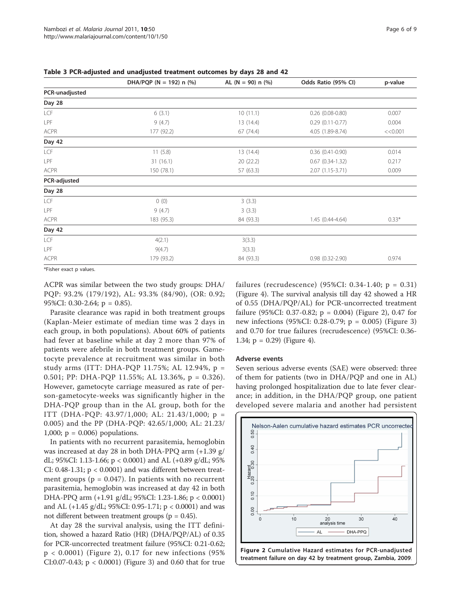|            |                             |                        | p-value             |
|------------|-----------------------------|------------------------|---------------------|
|            |                             |                        |                     |
|            |                             |                        |                     |
| 6(3.1)     | 10(11.1)                    | $0.26$ $(0.08 - 0.80)$ | 0.007               |
| 9(4.7)     | 13 (14.4)                   | $0.29$ $(0.11-0.77)$   | 0.004               |
| 177 (92.2) | 67(74.4)                    | 4.05 (1.89-8.74)       | <<0.001             |
|            |                             |                        |                     |
| 11(5.8)    | 13 (14.4)                   | $0.36$ $(0.41 - 0.90)$ | 0.014               |
| 31(16.1)   | 20 (22.2)                   | $0.67$ $(0.34-1.32)$   | 0.217               |
| 150 (78.1) | 57 (63.3)                   | 2.07 (1.15-3.71)       | 0.009               |
|            |                             |                        |                     |
|            |                             |                        |                     |
| 0(0)       | 3(3.3)                      |                        |                     |
| 9(4.7)     | 3(3.3)                      |                        |                     |
| 183 (95.3) | 84 (93.3)                   | $1.45(0.44 - 4.64)$    | $0.33*$             |
|            |                             |                        |                     |
| 4(2.1)     | 3(3.3)                      |                        |                     |
| 9(4.7)     | 3(3.3)                      |                        |                     |
| 179 (93.2) | 84 (93.3)                   | $0.98$ $(0.32 - 2.90)$ | 0.974               |
|            | DHA/PQP (N = 192) n $(\% )$ | AL $(N = 90)$ n $(\%)$ | Odds Ratio (95% CI) |

<span id="page-5-0"></span>Table 3 PCR-adjusted and unadjusted treatment outcomes by days 28 and 42

\*Fisher exact p values.

ACPR was similar between the two study groups: DHA/ PQP: 93.2% (179/192), AL: 93.3% (84/90), (OR: 0.92; 95%CI: 0.30-2.64; p = 0.85).

Parasite clearance was rapid in both treatment groups (Kaplan-Meier estimate of median time was 2 days in each group, in both populations). About 60% of patients had fever at baseline while at day 2 more than 97% of patients were afebrile in both treatment groups. Gametocyte prevalence at recruitment was similar in both study arms (ITT: DHA-PQP 11.75%; AL 12.94%, p = 0.501; PP: DHA-PQP 11.55%; AL 13.36%, p = 0.326). However, gametocyte carriage measured as rate of person-gametocyte-weeks was significantly higher in the DHA-PQP group than in the AL group, both for the ITT (DHA-PQP: 43.97/1,000; AL: 21.43/1,000; p = 0.005) and the PP (DHA-PQP: 42.65/1,000; AL: 21.23/ 1,000;  $p = 0.006$ ) populations.

In patients with no recurrent parasitemia, hemoglobin was increased at day 28 in both DHA-PPQ arm (+1.39 g/ dL; 95%CI: 1.13-1.66; p < 0.0001) and AL (+0.89 g/dL; 95% CI:  $0.48-1.31$ ;  $p < 0.0001$ ) and was different between treatment groups ( $p = 0.047$ ). In patients with no recurrent parasitemia, hemoglobin was increased at day 42 in both DHA-PPQ arm (+1.91 g/dL; 95%CI: 1.23-1.86; p < 0.0001) and AL  $(+1.45 \text{ g}/\text{dL}; 95\%$ CI: 0.95-1.71; p < 0.0001) and was not different between treatment groups ( $p = 0.45$ ).

At day 28 the survival analysis, using the ITT definition, showed a hazard Ratio (HR) (DHA/PQP/AL) of 0.35 for PCR-uncorrected treatment failure (95%CI: 0.21-0.62; p < 0.0001) (Figure 2), 0.17 for new infections (95% CI:0.07-0.43; p < 0.0001) (Figure [3](#page-6-0)) and 0.60 that for true failures (recrudescence) (95%CI:  $0.34-1.40$ ; p =  $0.31$ ) (Figure [4\)](#page-6-0). The survival analysis till day 42 showed a HR of 0.55 (DHA/PQP/AL) for PCR-uncorrected treatment failure (95%CI: 0.37-0.82;  $p = 0.004$ ) (Figure 2), 0.47 for new infections (95%CI: 0.28-0.79; p = 0.005) (Figure [3](#page-6-0)) and 0.70 for true failures (recrudescence) (95%CI: 0.36- 1.34;  $p = 0.29$  (Figure [4](#page-6-0)).

#### Adverse events

Seven serious adverse events (SAE) were observed: three of them for patients (two in DHA/PQP and one in AL) having prolonged hospitalization due to late fever clearance; in addition, in the DHA/PQP group, one patient developed severe malaria and another had persistent

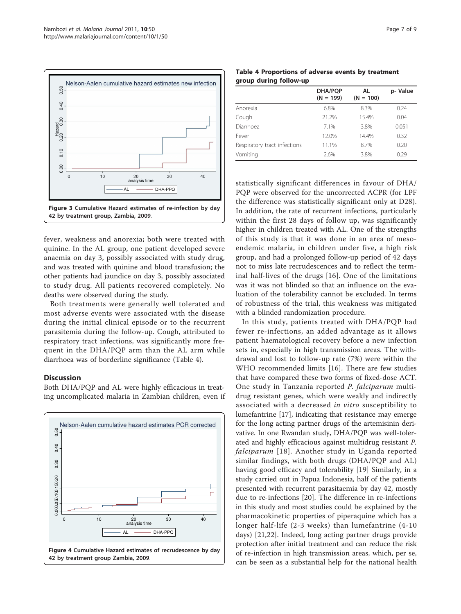<span id="page-6-0"></span>

fever, weakness and anorexia; both were treated with quinine. In the AL group, one patient developed severe anaemia on day 3, possibly associated with study drug, and was treated with quinine and blood transfusion; the other patients had jaundice on day 3, possibly associated to study drug. All patients recovered completely. No deaths were observed during the study.

Both treatments were generally well tolerated and most adverse events were associated with the disease during the initial clinical episode or to the recurrent parasitemia during the follow-up. Cough, attributed to respiratory tract infections, was significantly more frequent in the DHA/PQP arm than the AL arm while diarrhoea was of borderline significance (Table 4).

# **Discussion**

Both DHA/PQP and AL were highly efficacious in treating uncomplicated malaria in Zambian children, even if



Table 4 Proportions of adverse events by treatment group during follow-up

|                              | DHA/PQP<br>$(N = 199)$ | AL<br>$(N = 100)$ | p-Value |
|------------------------------|------------------------|-------------------|---------|
| Anorexia                     | 6.8%                   | 8.3%              | 0.24    |
| Cough                        | 21.2%                  | 15.4%             | 0.04    |
| Diarrhoea                    | 7.1%                   | 3.8%              | 0.051   |
| Fever                        | 12.0%                  | 14.4%             | 0.32    |
| Respiratory tract infections | 11.1%                  | 8.7%              | 0.20    |
| Vomiting                     | 2.6%                   | 3.8%              | 0.29    |

statistically significant differences in favour of DHA/ PQP were observed for the uncorrected ACPR (for LPF the difference was statistically significant only at D28). In addition, the rate of recurrent infections, particularly within the first 28 days of follow up, was significantly higher in children treated with AL. One of the strengths of this study is that it was done in an area of mesoendemic malaria, in children under five, a high risk group, and had a prolonged follow-up period of 42 days not to miss late recrudescences and to reflect the terminal half-lives of the drugs [\[16](#page-8-0)]. One of the limitations was it was not blinded so that an influence on the evaluation of the tolerability cannot be excluded. In terms of robustness of the trial, this weakness was mitigated with a blinded randomization procedure.

In this study, patients treated with DHA/PQP had fewer re-infections, an added advantage as it allows patient haematological recovery before a new infection sets in, especially in high transmission areas. The withdrawal and lost to follow-up rate (7%) were within the WHO recommended limits [[16\]](#page-8-0). There are few studies that have compared these two forms of fixed-dose ACT. One study in Tanzania reported P. falciparum multidrug resistant genes, which were weakly and indirectly associated with a decreased in vitro susceptibility to lumefantrine [[17](#page-8-0)], indicating that resistance may emerge for the long acting partner drugs of the artemisinin derivative. In one Rwandan study, DHA/PQP was well-tolerated and highly efficacious against multidrug resistant P. falciparum [[18\]](#page-8-0). Another study in Uganda reported similar findings, with both drugs (DHA/PQP and AL) having good efficacy and tolerability [[19\]](#page-8-0) Similarly, in a study carried out in Papua Indonesia, half of the patients presented with recurrent parasitaemia by day 42, mostly due to re-infections [\[20](#page-8-0)]. The difference in re-infections in this study and most studies could be explained by the pharmacokinetic properties of piperaquine which has a longer half-life (2-3 weeks) than lumefantrine (4-10 days) [[21,22\]](#page-8-0). Indeed, long acting partner drugs provide protection after initial treatment and can reduce the risk of re-infection in high transmission areas, which, per se, can be seen as a substantial help for the national health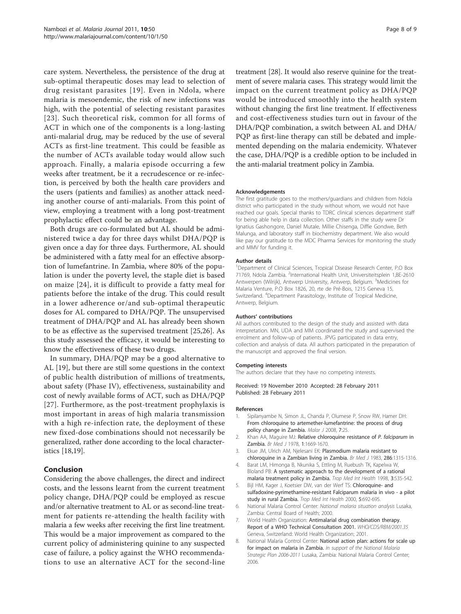<span id="page-7-0"></span>care system. Nevertheless, the persistence of the drug at sub-optimal therapeutic doses may lead to selection of drug resistant parasites [[19\]](#page-8-0). Even in Ndola, where malaria is mesoendemic, the risk of new infections was high, with the potential of selecting resistant parasites [[23\]](#page-8-0). Such theoretical risk, common for all forms of ACT in which one of the components is a long-lasting anti-malarial drug, may be reduced by the use of several ACTs as first-line treatment. This could be feasible as the number of ACTs available today would allow such approach. Finally, a malaria episode occurring a few weeks after treatment, be it a recrudescence or re-infection, is perceived by both the health care providers and the users (patients and families) as another attack needing another course of anti-malarials. From this point of view, employing a treatment with a long post-treatment prophylactic effect could be an advantage.

Both drugs are co-formulated but AL should be administered twice a day for three days whilst DHA/PQP is given once a day for three days. Furthermore, AL should be administered with a fatty meal for an effective absorption of lumefantrine. In Zambia, where 80% of the population is under the poverty level, the staple diet is based on maize [[24\]](#page-8-0), it is difficult to provide a fatty meal for patients before the intake of the drug. This could result in a lower adherence or/and sub-optimal therapeutic doses for AL compared to DHA/PQP. The unsupervised treatment of DHA/PQP and AL has already been shown to be as effective as the supervised treatment [\[25,26](#page-8-0)]. As this study assessed the efficacy, it would be interesting to know the effectiveness of these two drugs.

In summary, DHA/PQP may be a good alternative to AL [\[19](#page-8-0)], but there are still some questions in the context of public health distribution of millions of treatments, about safety (Phase IV), effectiveness, sustainability and cost of newly available forms of ACT, such as DHA/PQP [[27](#page-8-0)]. Furthermore, as the post-treatment prophylaxis is most important in areas of high malaria transmission with a high re-infection rate, the deployment of these new fixed-dose combinations should not necessarily be generalized, rather done according to the local characteristics [[18](#page-8-0),[19](#page-8-0)].

# Conclusion

Considering the above challenges, the direct and indirect costs, and the lessons learnt from the current treatment policy change, DHA/PQP could be employed as rescue and/or alternative treatment to AL or as second-line treatment for patients re-attending the health facility with malaria a few weeks after receiving the first line treatment. This would be a major improvement as compared to the current policy of administering quinine to any suspected case of failure, a policy against the WHO recommendations to use an alternative ACT for the second-line treatment [[28\]](#page-8-0). It would also reserve quinine for the treatment of severe malaria cases. This strategy would limit the impact on the current treatment policy as DHA/PQP would be introduced smoothly into the health system without changing the first line treatment. If effectiveness and cost-effectiveness studies turn out in favour of the DHA/PQP combination, a switch between AL and DHA/ PQP as first-line therapy can still be debated and implemented depending on the malaria endemicity. Whatever the case, DHA/PQP is a credible option to be included in the anti-malarial treatment policy in Zambia.

#### Acknowledgements

The first gratitude goes to the mothers/guardians and children from Ndola district who participated in the study without whom, we would not have reached our goals. Special thanks to TDRC clinical sciences department staff for being able help in data collection. Other staffs in the study were Dr Ignatius Gashongore, Daniel Mutale, Millie Chisenga, Diffie Gondwe, Beth Malunga, and laboratory staff in biochemistry department. We also would like pay our gratitude to the MDC Pharma Services for monitoring the study and MMV for funding it.

#### Author details

<sup>1</sup>Department of Clinical Sciences, Tropical Disease Research Center, P.O Box 71769, Ndola Zambia. <sup>2</sup>International Health Unit, Universiteitsplein 1,BE-2610 Antwerpen (Wilrijk), Antwerp University, Antwerp, Belgium. <sup>3</sup>Medicines for Malaria Venture, P.O Box 1826, 20, rte de Pré-Bois, 1215 Geneva 15, Switzerland. <sup>4</sup>Department Parasitology, Institute of Tropical Medicine, Antwerp, Belgium.

#### Authors' contributions

All authors contributed to the design of the study and assisted with data interpretation. MN, UDA and MM coordinated the study and supervised the enrolment and follow-up of patients. JPVG participated in data entry, collection and analysis of data. All authors participated in the preparation of the manuscript and approved the final version.

#### Competing interests

The authors declare that they have no competing interests.

Received: 19 November 2010 Accepted: 28 February 2011 Published: 28 February 2011

#### References

- Sipilanyambe N, Simon JL, Chanda P, Olumese P, Snow RW, Hamer DH: [From chloroquine to artemether-lumefantrine: the process of drug](http://www.ncbi.nlm.nih.gov/pubmed/18230140?dopt=Abstract) [policy change in Zambia.](http://www.ncbi.nlm.nih.gov/pubmed/18230140?dopt=Abstract) Malar J 2008, 7:25.
- 2. Khan AA, Maguire MJ: [Relative chloroquine resistance of](http://www.ncbi.nlm.nih.gov/pubmed/350347?dopt=Abstract) P. falciparum in [Zambia.](http://www.ncbi.nlm.nih.gov/pubmed/350347?dopt=Abstract) Br Med J 1978, 1:1669-1670.
- 3. Ekue JM, Ulrich AM, Njelesani EK: Plasmodium malaria resistant to chloroquine in a Zambian living in Zambia. Br Med J 1983, 286:1315-1316.
- 4. Barat LM, Himonga B, Nkunika S, Ettling M, Ruebush TK, Kapelwa W, Bloland PB: [A systematic approach to the development of a rational](http://www.ncbi.nlm.nih.gov/pubmed/9705187?dopt=Abstract) [malaria treatment policy in Zambia.](http://www.ncbi.nlm.nih.gov/pubmed/9705187?dopt=Abstract) Trop Med Int Health 1998, 3:535-542.
- 5. Bijl HM, Kager J, Koetsier DW, van der Werf TS: [Chloroquine- and](http://www.ncbi.nlm.nih.gov/pubmed/11044263?dopt=Abstract) [sulfadoxine-pyrimethamine-resistant Falciparum malaria in vivo - a pilot](http://www.ncbi.nlm.nih.gov/pubmed/11044263?dopt=Abstract) [study in rural Zambia.](http://www.ncbi.nlm.nih.gov/pubmed/11044263?dopt=Abstract) Trop Med Int Health 2000, 5:692-695.
- 6. National Malaria Control Center: National malaria situation analysis Lusaka, Zambia: Central Board of Health; 2000.
- 7. World Health Organization: Antimalarial drug combination therapy. Report of a WHO Technical Consultation 2001. WHO/CDS/RBM/2001.35 Geneva, Switzerland: World Health Organization; 2001.
- 8. National Malaria Control Center: National action plan: actions for scale up for impact on malaria in Zambia. In support of the National Malaria Strategic Plan 2006-2011 Lusaka, Zambia: National Malaria Control Center; 2006.